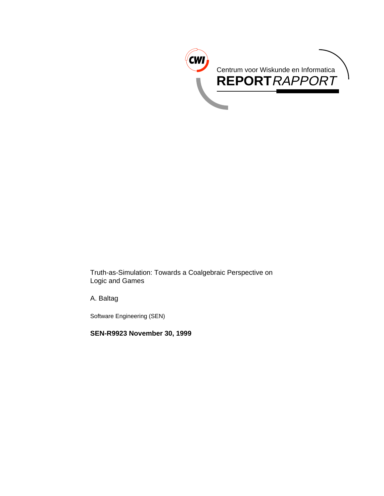

Truth-as-Simulation: Towards a Coalgebraic Perspective on Logic and Games

A. Baltag

Software Engineering (SEN)

**SEN-R9923 November 30, 1999**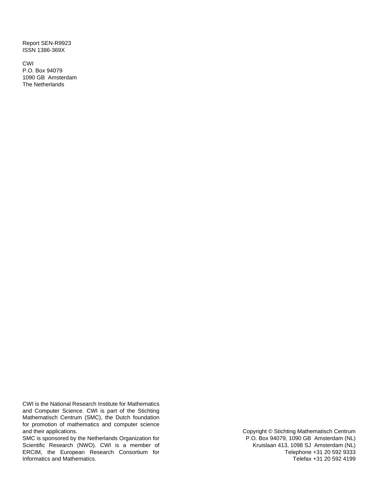Report SEN-R9923 ISSN 1386-369X

CWI P.O. Box 94079 1090 GB Amsterdam The Netherlands

CWI is the National Research Institute for Mathematics and Computer Science. CWI is part of the Stichting Mathematisch Centrum (SMC), the Dutch foundation for promotion of mathematics and computer science and their applications.

SMC is sponsored by the Netherlands Organization for Scientific Research (NWO). CWI is a member of ERCIM, the European Research Consortium for Informatics and Mathematics.

Copyright © Stichting Mathematisch Centrum P.O. Box 94079, 1090 GB Amsterdam (NL) Kruislaan 413, 1098 SJ Amsterdam (NL) Telephone +31 20 592 9333 Telefax +31 20 592 4199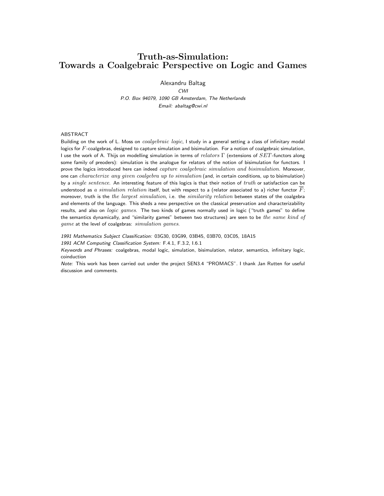### **Truth-as-Simulation: Towards a Coalgebraic Perspective on Logic and Games**

Alexandru Baltag

CWI P.O. Box 94079, 1090 GB Amsterdam, The Netherlands Email: abaltag@cwi.nl

#### ABSTRACT

Building on the work of L. Moss on coalgebraic logic, I study in a general setting a class of infinitary modal logics for  $F$ -coalgebras, designed to capture simulation and bisimulation. For a notion of coalgebraic simulation, I use the work of A. Thijs on modelling simulation in terms of  $relators \Gamma$  (extensions of  $SET$ -functors along some family of preoders): simulation is the analogue for relators of the notion of bisimulation for functors. I prove the logics introduced here can indeed capture coalgebraic simulation and bisimulation. Moreover, one can characterize any given coalgebra up to simulation (and, in certain conditions, up to bisimulation) by a single sentence. An interesting feature of this logics is that their notion of truth or satisfaction can be understood as a simulation relation itself, but with respect to a (relator associated to a) richer functor  $F$ ; moreover, truth is the the largest simulation, i.e. the similarity relation between states of the coalgebra and elements of the language. This sheds a new perspective on the classical preservation and characterizability results, and also on logic games. The two kinds of games normally used in logic ("truth games" to define the semantics dynamically, and "similarity games" between two structures) are seen to be the same kind of game at the level of coalgebras: simulation games.

1991 Mathematics Subject Classification: 03G30, 03G99, 03B45, 03B70, 03C05, 18A15

1991 ACM Computing Classification System: F.4.1, F.3.2, I.6.1

Keywords and Phrases: coalgebras, modal logic, simulation, bisimulation, relator, semantics, infinitary logic, coinduction

Note: This work has been carried out under the project SEN3.4 "PROMACS". I thank Jan Rutten for useful discussion and comments.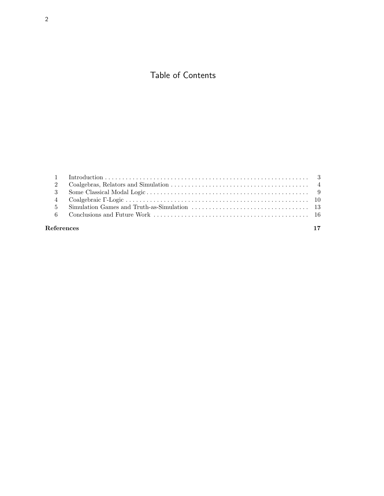# Table of Contents

| References | 17 |
|------------|----|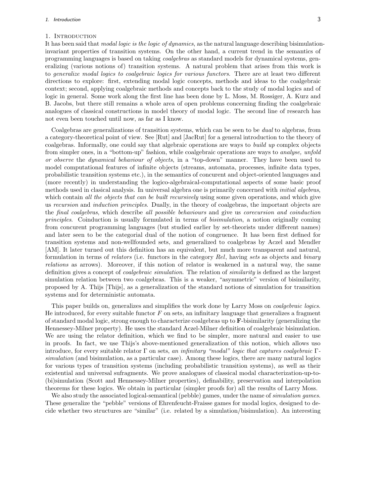#### 1. INTRODUCTION

It has been said that modal logic is the logic of dynamics, as the natural language describing bisimulationinvariant properties of transition systems. On the other hand, a current trend in the semantics of programming languages is based on taking coalgebras as standard models for dynamical systems, generalizing (various notions of) transition systems. A natural problem that arises from this work is to generalize modal logics to coalgebraic logics for various functors. There are at least two different directions to explore: first, extending modal logic concepts, methods and ideas to the coalgebraic context; second, applying coalgebraic methods and concepts back to the study of modal logics and of logic in general. Some work along the first line has been done by L. Moss, M. Rossiger, A. Kurz and B. Jacobs, but there still remains a whole area of open problems concerning finding the coalgebraic analogues of classical constructions in model theory of modal logic. The second line of research has not even been touched until now, as far as I know.

Coalgebras are generalizations of transition systems, which can be seen to be dual to algebras, from a category-theoretical point of view. See [Rut] and [JacRut] for a general introduction to the theory of coalgebras. Informally, one could say that algebraic operations are ways to build up complex objects from simpler ones, in a "bottom-up" fashion, while coalgebraic operations are ways to analyse, unfold or observe the dynamical behaviour of objects, in a "top-down" manner. They have been used to model computational features of infinite objects (streams, automata, processes, infinite data types, probabilistic transition systems etc.), in the semantics of concurent and object-oriented languages and (more recently) in understanding the logico-algebraical-computational aspects of some basic proof methods used in clasical analysis. In universal algebra one is primarily concerned with *initial algebras*, which contain all the objects that can be built recursively using some given operations, and which give us recursion and induction principles. Dually, in the theory of coalgebras, the important objects are the final coalgebras, which describe all possible behaviours and give us corecursion and coinduction principles. Coinduction is usually formulated in terms of bisimulation, a notion originally coming from concurent programming languages (but studied earlier by set-theorists under different names) and later seen to be the categorial dual of the notion of congruence. It has been first defined for transition systems and non-wellfounded sets, and generalized to coalgebras by Aczel and Mendler [AM]. It later turned out this definition has an equivalent, but much more transparent and natural, formulation in terms of *relators* (i.e. functors in the category Rel, having sets as objects and binary relations as arrows). Moreover, if this notion of relator is weakened in a natural way, the same definition gives a concept of *coalgebraic simulation*. The relation of *similarity* is defined as the largest simulation relation between two coalgebras. This is a weaker, "asymmetric" version of bisimilarity, proposed by A. Thijs [Thijs], as a generalization of the standard notions of simulation for transition systems and for deterministic automata.

This paper builds on, generalizes and simplifies the work done by Larry Moss on *coalgebraic logics*. He introduced, for every suitable functor  $F$  on sets, an infinitary language that generalizes a fragment of standard modal logic, strong enough to characterize coalgebras up to **F**-bisimilarity (generalizing the Hennessey-Milner property). He uses the standard Aczel-Milner definition of coalgebraic bisimulation. We are using the relator definition, which we find to be simpler, more natural and easier to use in proofs. In fact, we use Thijs's above-mentioned generalization of this notion, which allows uso introduce, for every suitable relator  $\Gamma$  on sets, an infinitary "modal" logic that captures coalgebraic  $\Gamma$ simulation (and bisimulation, as a particular case). Among these logics, there are many natural logics for various types of transition systems (including probabilistic transition systems), as well as their existential and universal sufragments. We prove analogues of classical modal characterization-up-to- (bi)simulation (Scott and Hennessey-Milner properties), definability, preservation and interpolation theorems for these logics. We obtain in particular (simpler proofs for) all the results of Larry Moss.

We also study the associated logical-semantical (pebble) games, under the name of *simulation games*. These generalize the "pebble" versions of Ehrenfeucht-Fraisse games for modal logics, designed to decide whether two structures are "similar" (i.e. related by a simulation/bisimulation). An interesting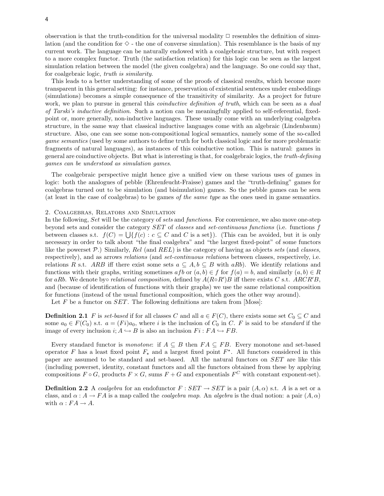observation is that the truth-condition for the universal modality  $\Box$  resembles the definition of simulation (and the condition for  $\diamond$  - the one of converse simulation). This resemblance is the basis of my current work. The language can be naturally endowed with a coalgebraic structure, but with respect to a more complex functor. Truth (the satisfaction relation) for this logic can be seen as the largest simulation relation between the model (the given coalgebra) and the language. So one could say that, for coalgebraic logic, truth is similarity.

This leads to a better understanding of some of the proofs of classical results, which become more transparent in this general setting: for instance, preservation of existential sentences under embeddings (simulations) becomes a simple consequence of the transitivity of similarity. As a project for future work, we plan to pursue in general this *coinductive definition of truth*, which can be seen as a *dual* of Tarski's inductive definition. Such a notion can be meaningfully applied to self-referential, fixedpoint or, more generally, non-inductive languages. These usually come with an underlying coalgebra structure, in the same way that classical inductive languages come with an algebraic (Lindenbaum) structure. Also, one can see some non-compositional logical semantics, namely some of the so-called game semantics (used by some authors to define truth for both classical logic and for more problematic fragments of natural languages), as instances of this coinductive notion. This is natural: games in general are coinductive objects. But what is interesting is that, for coalgebraic logics, the truth-defining games can be understood as simulation games.

The coalgebraic perspective might hence give a unified view on these various uses of games in logic: both the analogues of pebble (Ehrenfeucht-Fraisse) games and the "truth-defining" games for coalgebras turned out to be simulation (and bisimulation) games. So the pebble games can be seen (at least in the case of coalgebras) to be games of the same type as the ones used in game semantics.

#### 2. Coalgebras, Relators and Simulation

In the following, Set will be the category of sets and functions. For convenience, we also move one-step beyond sets and consider the category SET of classes and set-continuous functions (i.e. functions f between classes s.t.  $f(C) = \bigcup \{ f(c) : c \subseteq C \text{ and } C \text{ is a set} \}$ . (This can be avoided, but it is only necessary in order to talk about "the final coalgebra" and "the largest fixed-point" of some functors like the powerset *P*.) Similarly, Rel (and REL) is the category of having as objects sets (and classes, respectively), and as arrows *relations* (and *set-continuous relations* between classes, respectively, i.e. relations R s.t. ARB iff there exist some sets  $a \subseteq A, b \subseteq B$  with aRb). We identify relations and functions with their graphs, writing sometimes  $afb$  or  $(a, b) \in f$  for  $f(a) = b$ , and similarly  $(a, b) \in R$ for aRb. We denote by*⊙* relational composition, defined by  $A(R \circ R')B$  iff there exists C s.t. ARCR'B, and (because of identification of functions with their graphs) we use the same relational composition for functions (instead of the usual functional composition, which goes the other way around).

Let F be a functor on  $SET$ . The following definitions are taken from [Moss]:

**Definition 2.1** F is set-based if for all classes C and all  $a \in F(C)$ , there exists some set  $C_0 \subseteq C$  and some  $a_0 \in F(C_0)$  s.t.  $a = (Fi)a_0$ , where i is the inclusion of  $C_0$  in C. F is said to be *standard* if the image of every inclusion  $i; A \hookrightarrow B$  is also an inclusion  $Fi : FA \hookrightarrow FB$ .

Every standard functor is monotone: if  $A \subseteq B$  then  $FA \subseteq FB$ . Every monotone and set-based operator F has a least fixed point  $F_{\star}$  and a largest fixed point  $F^{\star}$ . All functors considered in this paper are assumed to be standard and set-based. All the natural functors on SET are like this (including powerset, identity, constant functors and all the functors obtained from these by applying compositions  $F \circ G$ , products  $F \times G$ , sums  $F + G$  and exponentials  $F^C$  with constant exponent-set).

**Definition 2.2** A coalgebra for an endofunctor  $F : SET \rightarrow SET$  is a pair  $(A, \alpha)$  s.t. A is a set or a class, and  $\alpha: A \to FA$  is a map called the *coalgebra map*. An *algebra* is the dual notion: a pair  $(A, \alpha)$ with  $\alpha$  :  $FA \rightarrow A$ .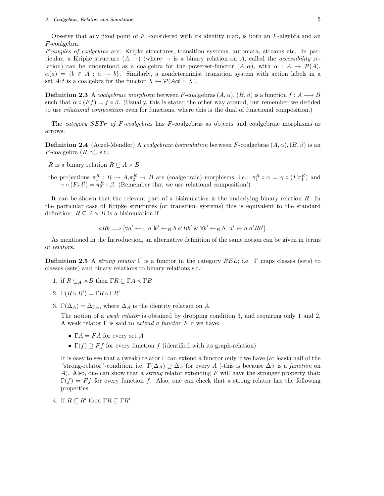Observe that any fixed point of  $F$ , considered with its identity map, is both an  $F$ -algebra and an F-coalgebra.

Examples of coalgebras are: Kripke structures, transition systems, automata, streams etc. In particular, a Kripke structure  $(A, \rightarrow)$  (where  $\rightarrow$  is a binary relation on A, called the *accessibility* relation) can be understood as a coalgebra for the powerset-functor  $(A, \alpha)$ , with  $\alpha : A \to \mathcal{P}(A)$ .  $\alpha(a) = \{b \in A : a \to b\}$ . Similarly, a nondeterminist transition system with action labels in a set Act is a coalgebra for the functor  $X \mapsto \mathcal{P}(Act \times X)$ .

**Definition 2.3** A coalgebraic morphism between F-coalgebras  $(A, \alpha)$ ,  $(B, \beta)$  is a function  $f : A \longrightarrow B$ such that  $\alpha \circ (Ff) = f \circ \beta$ . (Usually, this is stated the other way around, but remember we decided to use relational composition even for functions, where this is the dual of functional composition.)

The *category*  $SET_F$  *of F-coalgebras* has *F-coalgebras* as objects and coalgebraic morphisms as arrows.

**Definition 2.4** (Aczel-Mendler) A coalgebraic bisimulation between F-coalgebras  $(A, \alpha)$ ,  $(B, \beta)$  is an  $F\text{-coalgebra } (R, \gamma)$ , s.t.:

R is a binary relation  $R \subseteq A \times B$ 

the projections  $\pi_1^R$ :  $R \to A, \pi_2^R \to B$  are (coalgebraic) morphisms, i.e.:  $\pi_1^R \circ \alpha = \gamma \circ (F \pi_1^R)$  and  $\gamma \circ (F \pi_2^R) = \pi_2^R \circ \beta$ . (Remember that we use relational composition!)

It can be shown that the relevant part of a bisimulation is the underlying binary relation R. In the particular case of Kripke structures (or transition systems) this is equivalent to the standard definition:  $R \subseteq A \times B$  is a bisimulation if

$$
aRb \Longrightarrow [\forall a' \leftarrow_A a\exists b' \leftarrow_B b a'Rb' \& \forall b' \leftarrow_B b\exists a' \leftarrow a a'Rb'].
$$

As mentioned in the Introduction, an alternative definition of the same notion can be given in terms of relators.

**Definition 2.5** A strong relator  $\Gamma$  is a functor in the category REL; i.e.  $\Gamma$  maps classes (sets) to classes (sets) and binary relations to binary relations s.t.:

1. if  $R \subseteq_A \times B$  then  $\Gamma R \subseteq \Gamma A \times \Gamma B$ 

$$
2. \Gamma(R \circ R') = \Gamma R \circ \Gamma R'
$$

3.  $\Gamma(\Delta_A) = \Delta_{\Gamma A}$ , where  $\Delta_A$  is the identity relation on A.

The notion of a *weak relator* is obtained by dropping condition 3, and requiring only 1 and 2. A weak relator  $\Gamma$  is said to *extend a functor*  $F$  if we have:

- $\Gamma A = F A$  for every set A
- $\Gamma(f) \supseteq F f$  for every function f (identified with its graph-relation)

It is easy to see that a (weak) relator Γ can extend a functor only if we have (at least) half of the "strong-relator"-condition, i.e.  $\Gamma(\Delta_A) \supseteq \Delta_A$  for every A (-this is because  $\Delta_A$  is a *function* on A). Also, one can show that a *strong* relator extending F will have the stronger property that:  $\Gamma(f) = Ff$  for every function f. Also, one can check that a strong relator has the following properties:

4. If  $R \subseteq R'$  then  $\Gamma R \subseteq \Gamma R'$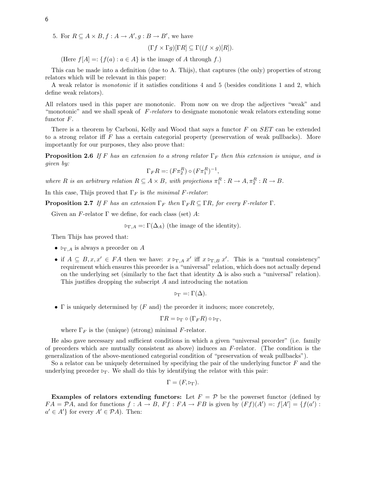5. For  $R \subseteq A \times B$ ,  $f : A \rightarrow A'$ ,  $g : B \rightarrow B'$ , we have

$$
(\Gamma f \times \Gamma g)[\Gamma R] \subseteq \Gamma((f \times g)[R]).
$$

(Here  $f[A] =: \{f(a) : a \in A\}$  is the image of A through f.)

This can be made into a definition (due to A. Thijs), that captures (the only) properties of strong relators which will be relevant in this paper:

A weak relator is monotonic if it satisfies conditions 4 and 5 (besides conditions 1 and 2, which define weak relators).

All relators used in this paper are monotonic. From now on we drop the adjectives "weak" and "monotonic" and we shall speak of  $F$ -relators to designate monotonic weak relators extending some functor F.

There is a theorem by Carboni, Kelly and Wood that says a functor F on SET can be extended to a strong relator iff  $F$  has a certain categorial property (preservation of weak pullbacks). More importantly for our purposes, they also prove that:

**Proposition 2.6** If F has an extension to a strong relator  $\Gamma_F$  then this extension is unique, and is given by:

$$
\Gamma_F R =: (F\pi_2^R) \circ (F\pi_1^R)^{-1},
$$

where R is an arbitrary relation  $R \subseteq A \times B$ , with projections  $\pi_1^R : R \to A, \pi_2^R : R \to B$ .

In this case, Thijs proved that  $\Gamma_F$  is the minimal F-relator:

**Proposition 2.7** If F has an extension  $\Gamma_F$  then  $\Gamma_F R \subseteq \Gamma R$ , for every F-relator  $\Gamma$ .

Given an F-relator  $\Gamma$  we define, for each class (set) A:

 $\triangleright_{\Gamma,A}$  =:  $\Gamma(\Delta_A)$  (the image of the identity).

Then Thijs has proved that:

- $\rho_{\Gamma,A}$  is always a preorder on A
- if  $A \subseteq B, x, x' \in FA$  then we have:  $x \triangleright_{\Gamma,A} x'$  iff  $x \triangleright_{\Gamma,B} x'$ . This is a "mutual consistency" requirement which ensures this preorder is a "universal" relation, which does not actually depend on the underlying set (similarly to the fact that identity  $\Delta$  is also such a "universal" relation). This justifies dropping the subscript A and introducing the notation

$$
\triangleright_{\Gamma} =: \Gamma(\Delta).
$$

*•* Γ is uniquely determined by (F and) the preorder it induces; more concretely,

$$
\Gamma R = \triangleright_{\Gamma} \circ (\Gamma_F R) \circ \triangleright_{\Gamma},
$$

where  $\Gamma_F$  is the (unique) (strong) minimal F-relator.

He also gave necessary and sufficient conditions in which a given "universal preorder" (i.e. family of preorders which are mutually consistent as above) induces an  $F$ -relator. (The condition is the generalization of the above-mentioned categorial condition of "preservation of weak pullbacks").

So a relator can be uniquely determined by specifying the pair of the underlying functor  $F$  and the underlying preorder  $\triangleright_{\Gamma}$ . We shall do this by identifying the relator with this pair:

$$
\Gamma = (F, \triangleright_{\Gamma}).
$$

**Examples of relators extending functors:** Let  $F = \mathcal{P}$  be the powerset functor (defined by  $FA = \mathcal{P}A$ , and for functions  $f : A \to B$ ,  $Ff : FA \to FB$  is given by  $(Ff)(A') =: f[A'] = \{f(a') : A \to FB\}$  $a' \in A'$ } for every  $A' \in \mathcal{P}A$ . Then: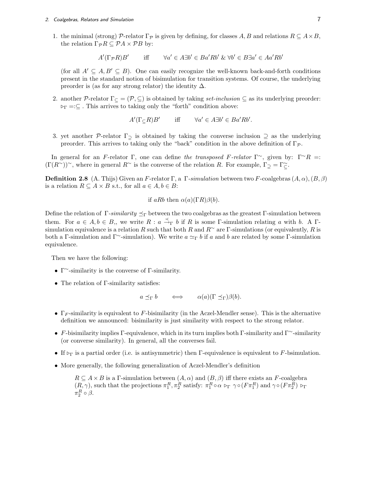#### 2. Coalgebras, Relators and Simulation 7

1. the minimal (strong)  $\mathcal{P}_r$ -relator  $\Gamma_{\mathcal{P}}$  is given by defining, for classes A, B and relations  $R \subseteq A \times B$ , the relation  $\Gamma_{\mathcal{P}} R \subseteq \mathcal{P} A \times \mathcal{P} B$  by:

$$
A'(\Gamma_{\mathcal{P}}R)B' \qquad \text{iff} \qquad \forall a' \in A \exists b' \in Ba'Rb' \ \& \ \forall b' \in B \exists a' \in Aa'Rb'
$$

(for all  $A' \subseteq A, B' \subseteq B$ ). One can easily recognize the well-known back-and-forth conditions present in the standard notion of bisimulation for transition systems. Of course, the underlying preorder is (as for any strong relator) the identity  $\Delta$ .

2. another *P*-relator  $\Gamma_{\subseteq} = (\mathcal{P}, \subseteq)$  is obtained by taking *set-inclusion*  $\subseteq$  as its underlying preorder: .<sup>Γ</sup> =:*⊆* . This arrives to taking only the "forth" condition above:

 $A'(\Gamma \subseteq R)B'$  iff  $\forall a' \in A \exists b' \in Ba'Rb'.$ 

3. yet another *P*-relator Γ*<sup>⊇</sup>* is obtained by taking the converse inclusion *⊇* as the underlying preorder. This arrives to taking only the "back" condition in the above definition of Γ*<sup>P</sup>* .

In general for an F-relator Γ, one can define the transposed F-relator Γ<sup>∼</sup>, given by: Γ<sup>∼</sup>R =:  $(\Gamma(R^{\sim}))^{\sim}$ , where in general  $R^{\sim}$  is the converse of the relation R. For example,  $\Gamma_{\supseteq} = \Gamma_{\supseteq}^{\sim}$ .

**Definition 2.8** (A. Thijs) Given an F-relator Γ, a Γ-simulation between two F-coalgebras  $(A, \alpha)$ ,  $(B, \beta)$ is a relation  $R \subseteq A \times B$  s.t., for all  $a \in A, b \in B$ :

if aRb then  $\alpha(a)(\Gamma R)\beta(b)$ .

Define the relation of  $\Gamma$ -similarity  $\preceq_{\Gamma}$  between the two coalgebras as the greatest  $\Gamma$ -simulation between them. For  $a \in A, b \in B$ ,, we write  $R : a \stackrel{\prec}{\to}_{\Gamma} b$  if R is some  $\Gamma$ -simulation relating a with b. A  $\Gamma$ simulation equivalence is a relation R such that both R and  $R^{\sim}$  are Γ-simulations (or equivalently, R is both a Γ-simulation and Γ<sup> $\sim$ </sup>-simulation). We write  $a \simeq_{\Gamma} b$  if a and b are related by some Γ-simulation equivalence.

Then we have the following:

- *•* Γ*<sup>∼</sup>*-similarity is the converse of Γ-similarity.
- *•* The relation of Γ-similarity satisfies:

 $a \preceq_{\Gamma} b \iff \alpha(a)(\Gamma \preceq_{\Gamma})\beta(b).$ 

- Γ<sub>F</sub>-similarity is equivalent to F-bisimilarity (in the Aczel-Mendler sense). This is the alternative definition we announced: bisimilarity is just similarity with respect to the strong relator.
- *•* F-bisimilarity implies Γ-equivalence, which in its turn implies both Γ-similarity and Γ*<sup>∼</sup>*-similarity (or converse similarity). In general, all the converses fail.
- If  $\triangleright$ <sub>Γ</sub> is a partial order (i.e. is antisymmetric) then Γ-equivalence is equivalent to *F*-bsimulation.
- More generally, the following generalization of Aczel-Mendler's definition

 $R \subseteq A \times B$  is a Γ-simulation between  $(A, \alpha)$  and  $(B, \beta)$  iff there exists an *F*-coalgebra  $(R, \gamma)$ , such that the projections  $\pi_1^R, \pi_2^R$  satisfy:  $\pi_1^R \circ \alpha \triangleright_{\Gamma} \gamma \circ (F \pi_1^R)$  and  $\gamma \circ (F \pi_2^R) \triangleright_{\Gamma}$  $\pi_2^R \circ \beta$ .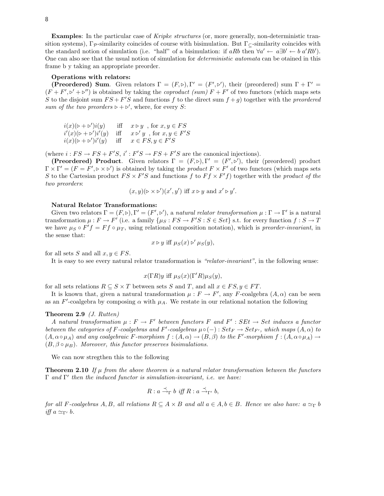**Examples**: In the particular case of Kripke structures (or, more generally, non-deterministic transition systems),  $\Gamma_{\mathcal{P}}$ -similarity coincides of course with bisimulation. But  $\Gamma_{\mathsf{C}}$ -similarity coincides with the standard notion of simulation (i.e. "half" of a bisimulation: if aRb then  $\forall a' \leftarrow a \exists b' \leftarrow b \ a' R b'$ ). One can also see that the usual notion of simulation for deterministic automata can be otained in this frame b y taking an appropriate preorder.

#### **Operations with relators:**

**(Preordered) Sum.** Given relators  $\Gamma = (F, \triangleright), \Gamma' = (F', \triangleright')$ , their (preordered) sum  $\Gamma + \Gamma' =$  $(F + F', \nu' + \nu'')$  is obtained by taking the *coproduct* (sum)  $F + F'$  of two functors (which maps sets S to the disjoint sum  $FS + F'S$  and functions f to the direct sum  $f + g$ ) together with the preordered sum of the two preorders  $\rhd + \rhd'$ , where, for every S:

$$
i(x)(\triangleright + \triangleright')i(y) \quad \text{iff} \quad x \triangleright y \quad \text{for } x, y \in FS
$$
  

$$
i'(x)(\triangleright + \triangleright')i'(y) \quad \text{iff} \quad x \triangleright' y \quad \text{for } x, y \in F'S
$$
  

$$
i(x)(\triangleright + \triangleright')i'(y) \quad \text{iff} \quad x \in FS, y \in F'S
$$

(where  $i: FS \to FS + F'S$ ,  $i': F'S \to FS + F'S$  are the canonical injections).

**(Preordered) Product.** Given relators  $\Gamma = (F, \triangleright), \Gamma' = (F', \triangleright')$ , their (preordered) product  $\Gamma \times \Gamma' = (F = F', \rhd \rhd \rhd')$  is obtained by taking the *product*  $F \times F'$  of two functors (which maps sets S to the Cartesian product  $FS \times F'S$  and functions f to  $Ff \times F'f$  together with the product of the two preorders:

 $(x, y)(\triangleright \times \triangleright')(x', y')$  iff  $x \triangleright y$  and  $x' \triangleright y'$ .

#### **Natural Relator Transformations:**

Given two relators  $\Gamma = (F, \triangleright), \Gamma' = (F', \triangleright')$ , a *natural relator transformation*  $\mu : \Gamma \to \Gamma'$  is a natural transformation  $\mu : F \to F'$  (i.e. a family  $\{\mu_S : FS \to F'S : S \in Set\}$  s.t. for every function  $f : S \to T$ we have  $\mu_S \circ F'f = Ff \circ \mu_T$ , using relational composition notation), which is preorder-invariant, in the sense that:

$$
x \triangleright y
$$
 iff  $\mu_S(x) \triangleright' \mu_S(y)$ ,

for all sets S and all  $x, y \in FS$ .

It is easy to see every natural relator transformation is "relator-invariant", in the following sense:

$$
x(\Gamma R)y
$$
 iff  $\mu_S(x)(\Gamma'R)\mu_S(y)$ ,

for all sets relations  $R \subseteq S \times T$  between sets S and T, and all  $x \in FS, y \in FT$ .

It is known that, given a natural transformation  $\mu : F \to F'$ , any F-coalgebra  $(A, \alpha)$  can be seen as an  $F'$ -coalgebra by composing  $\alpha$  with  $\mu_A$ . We restate in our relational notation the following

#### **Theorem 2.9** (J. Rutten)

A natural transformation  $\mu : F \to F'$  between functors F and  $F' : SEt \to Set$  induces a functor between the categories of F-coalgebras and F'-coalgebras  $\mu \circ (-) : Set_F \to Set_{F'}$ , which maps  $(A, \alpha)$  to  $(A, \alpha \circ \mu_A)$  and any coalgebraic F-morphism  $f : (A, \alpha) \to (B, \beta)$  to the F'-morphism  $f : (A, \alpha \circ \mu_A) \to (B, \alpha \circ \mu_B)$  $(B, \beta \circ \mu_B)$ . Moreover, this functor preserves bisimulations.

We can now stregthen this to the following

**Theorem 2.10** If  $\mu$  from the above theorem is a natural relator transformation between the functors Γ and Γ*<sup>0</sup>* then the induced functor is simulation-invariant, i.e. we have:

$$
R: a\stackrel{\prec}{\rightarrow}_{\Gamma} b \textit{ iff } R: a\stackrel{\prec}{\rightarrow}_{\Gamma'} b,
$$

for all F-coalgebras  $A, B$ , all relations  $R \subseteq A \times B$  and all  $a \in A, b \in B$ . Hence we also have:  $a \simeq_{\Gamma} b$  $if f a \simeq_{Γ'} b.$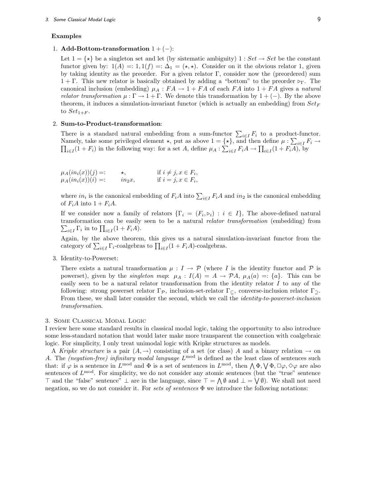#### 3. Some Classical Modal Logic 9

#### **Examples**

#### 1. **Add-Bottom-transformation** 1+(*−*):

Let  $1 = \{ \star \}$  be a singleton set and let (by sistematic ambiguity)  $1 : Set \rightarrow Set$  be the constant functor given by:  $1(A) =: 1, 1(f) =: \Delta_1 = (\star, \star)$ . Consider on it the obvious relator 1, given by taking identity as the preorder. For a given relator  $\Gamma$ , consider now the (preordered) sum 1 + Γ. This new relator is basically obtained by adding a "bottom" to the preorder  $\rho_T$ . The canonical inclusion (embedding)  $\mu_A : FA \to 1 + FA$  of each FA into  $1 + FA$  gives a natural *relator transformation*  $\mu : \Gamma \to 1 + \Gamma$ . We denote this transformation by  $1 + (-)$ . By the above theorem, it induces a simulation-invariant functor (which is actually an embedding) from  $Set_F$ to  $Set_{1+F}$ .

#### 2. **Sum-to-Product-transformation**:

There is a standard natural embedding from a sum-functor  $\sum_{i\in I} F_i$  to a product-functor. Namely, take some privileged element  $\star$ , put as above  $1 = {\star}$ , and then define  $\mu : \sum_{i \in I} F_i \to$  $\prod_{i\in I} (1 + F_i)$  in the following way: for a set A, define  $\mu_A : \sum_{i\in I} F_i A \to \prod_{i\in I} (1 + F_i \overline{A})$ , by

| $\mu_A(in_i(x))(j) =:$ | $\star$ , | if $i \neq j, x \in F_i$ , |
|------------------------|-----------|----------------------------|
| $\mu_A(in_i(x))(i) =:$ | $in_2x$ , | if $i = j, x \in F_i$ ,    |

where  $in_i$  is the canonical embedding of  $F_iA$  into  $\sum_{i\in I} F_iA$  and  $in_2$  is the canonical embedding of  $F_iA$  into  $1 + F_iA$ .

If we consider now a family of relators  $\{\Gamma_i = (F_i, \triangleright_i) : i \in I\}$ , The above-defined natural transformation can be easily seen to be a natural *relator transformation* (embedding) from  $\sum_{i \in I} \Gamma_i$  in to  $\prod_{i \in I} (1 + F_i A)$ .

Again, by the above theorem, this gives us a natural simulation-invariant functor from the category of  $\sum_{i \in I} \Gamma_i$ -coalgebras to  $\prod_{i \in I} (1 + F_i A)$ -coalgebras.

3. Identity-to-Powerset:

There exists a natural transformation  $\mu : I \to \mathcal{P}$  (where I is the identity functor and  $\mathcal{P}$  is powerset), given by the *singleton map*:  $\mu_A$  :  $I(A) = A \rightarrow \mathcal{P}A$ ,  $\mu_A(a) =: \{a\}$ . This can be easily seen to be a natural relator transformation from the identity relator  $I$  to any of the following: strong powerset relator Γ*<sup>P</sup>* , inclusion-set-relator Γ*⊆*, converse-inclusion relator Γ*⊇*. From these, we shall later consider the second, which we call the identity-to-powerset-inclusion transformation.

#### 3. Some Classical Modal Logic

I review here some standard results in classical modal logic, taking the opportunity to also introduce some less-standard notation that would later make more transparent the connection with coalgebraic logic. For simplicity, I only treat unimodal logic with Kripke structures as models.

A Kripke structure is a pair  $(A, \rightarrow)$  consisting of a set (or class) A and a binary relation  $\rightarrow$  on A. The *(negation-free)* infinitary modal language  $L^{\text{mod}}$  is defined as the least class of sentences such that: if  $\varphi$  is a sentence in  $L^{mod}$  and  $\Phi$  is a set of sentences in  $L^{mod}$ , then  $\bigwedge \Phi, \bigvee \Phi, \Box \varphi, \Diamond \varphi$  are also sentences of  $L^{mod}$ . For simplicity, we do not consider any atomic sentences (but the "true" sentence *>* and the "false" sentence" *⊥* are in the language, since *>* = V *∅* and *⊥* = W *∅*). We shall not need negation, so we do not consider it. For sets of sentences  $\Phi$  we introduce the following notations: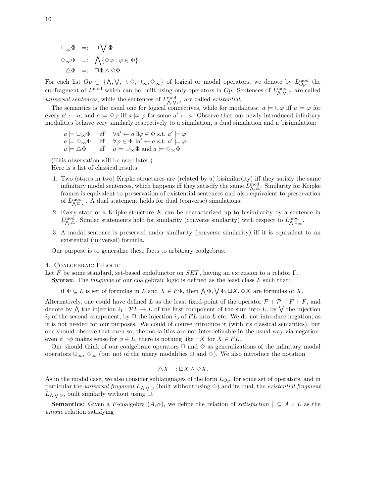$$
\Box_{\infty} \Phi =: \Box \bigvee \Phi
$$
  

$$
\Diamond_{\infty} \Phi =: \bigwedge \{ \Diamond \varphi : \varphi \in \Phi \}
$$
  

$$
\triangle \Phi =: \Box \Phi \wedge \Diamond \Phi.
$$

For each list  $Op \subseteq {\{\land, \forall, \Box, \Diamond, \Box_\infty, \Diamond_\infty\}}$  of logical or modal operators, we denote by  $L_{Op}^{mod}$  the subfragment of  $L^{mod}$  which can be built using only operators in  $Op$ . Sentences of  $L^{mod}_{\Lambda,\mathcal{V},\Box}$  are called universal sentences, while the sentences of  $L_{\Lambda,\mathsf{V},\diamond}^{\mathrm{mod}}$  are called *existential*.

The semantics is the usual one for logical connectives, while for modalities:  $a \models \Box \varphi$  iff  $a \models \varphi$  for every  $a' \leftarrow a$ , and  $a \models \Diamond \varphi$  iff  $a \models \varphi$  for some  $a' \leftarrow a$ . Observe that our newly introduced infinitary modalities behave very similarly respectively to a simulation, a dual simulation and a bisimulation:

$$
a \models \Box_{\infty} \Phi \quad \text{iff} \quad \forall a' \leftarrow a \exists \varphi \in \Phi \text{ s.t. } a' \models \varphi
$$
  

$$
a \models \Diamond_{\infty} \Phi \quad \text{iff} \quad \forall \varphi \in \Phi \exists a' \leftarrow a \text{ s.t. } a' \models \varphi
$$
  

$$
a \models \Delta \Phi \quad \text{iff} \quad a \models \Box_{\infty} \Phi \text{ and } a \models \Diamond_{\infty} \Phi
$$

(This observation will be used later.)

Here is a list of classical results:

- 1. Two (states in two) Kripke structures are (related by a) bisimilar(ity) iff they satisfy the same infinitary modal sentences, which happens iff they satisdfy the same  $L_{\Lambda,\triangle}^{\text{mod}}$ . Similarity for Kripke frames is equivalent to preservation of existential sentences and also equivalent to preservation of  $L^{\text{mod}}_{\Lambda \Box_{\infty}}$ . A dual statement holds for dual (converse) simulations.
- 2. Every state of a Kripke structure  $K$  can be characterized up to bisimilarity by a sentence in  $L_{\Lambda,\triangle}^{\text{mod}}$ . Similar statements hold for similarity (converse similarity) with respect to  $L_{\Lambda,\Box}^{\text{mod}}$ .
- 3. A modal sentence is preserved under similarity (converse similarity) iff it is equivalent to an existential (universal) formula.

Our purpose is to generalize these facts to arbitrary coalgebras.

#### 4. Coalgebraic Γ-Logic

Let F be some standard, set-based endofunctor on  $SET$ , having an extension to a relator  $\Gamma$ .

**Syntax**. The *language* of our coalgebraic logic is defined as the least class L such that:

if  $\Phi \subseteq L$  is set of formulas in L and  $X \in F\Phi$ , then  $\bigwedge \Phi, \bigvee \Phi, \Box X, \Diamond X$  are formulas of X.

Alternatively, one could have defined L as the least fixed-point of the operator  $P + P + F + F$ , and denote by  $\bigwedge$  the injection  $i_1 : \mathcal{P}L \to L$  of the first component of the sum into L, by  $\bigvee$  the injection  $i_2$  of the second component, by  $\Box$  the injection  $i_3$  of FL into L etc. We do not introduce negation, as it is not needed for our purposes. We could of course introduce it (with its classical semantics), but one should observe that even so, the modalities are not interdefinable in the usual way via negation: even if  $\neg \phi$  makes sense for  $\phi \in L$ , there is nothing like  $\neg X$  for  $X \in FL$ .

One should think of our coalgebraic operators  $\Box$  and  $\diamond$  as generalizations of the infinitary modal operators  $\Box_{\infty}$ ,  $\diamond_{\infty}$  (but not of the unary modalities  $\Box$  and  $\diamond$ ). We also introduce the notation

$$
\triangle X =: \square X \wedge \diamond X.
$$

As in the modal case, we also consider sublanguages of the form  $L_{Op}$ , for some set of operators, and in particular the *universal fragment*  $L_{\Lambda} \vee \square$  (built without using  $\diamond$ ) and its dual, the *existential fragment*  $L_{\Lambda} \vee \diamond$ , built similarly without using  $\Box$ .

**Semantics**: Given a F-coalgebra  $(A, \alpha)$ , we define the relation of *satisfaction*  $\models \subseteq A \times L$  as the unique relation satisfying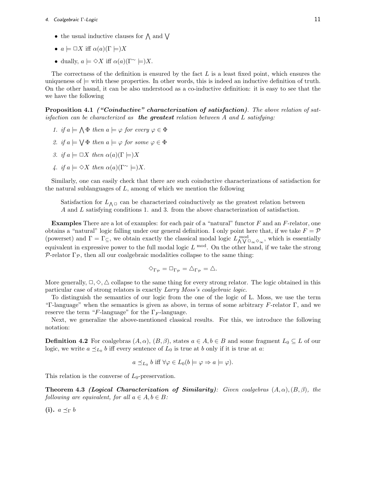#### 4. Coalgebraic Γ-Logic 11 **11**

- the usual inductive clauses for  $\wedge$  and  $\vee$
- $a \models \Box X$  iff  $\alpha(a)(\Gamma \models)X$
- dually,  $a \models \Diamond X$  iff  $\alpha(a)(\Gamma^{\sim} \models)X$ .

The correctness of the definition is ensured by the fact  $L$  is a least fixed point, which ensures the uniqueness of  $\models$  with these properties. In other words, this is indeed an inductive definition of truth. On the other hasnd, it can be also understood as a co-inductive definition: it is easy to see that the we have the following

**Proposition 4.1** *("Coinductive" characterization of satisfaction)*. The above relation of satisfaction can be characterized as *the greatest* relation between A and L satisfying:

- 1. if  $a \models \bigwedge \Phi$  then  $a \models \varphi$  for every  $\varphi \in \Phi$
- 2. if  $a \models \bigvee \Phi$  then  $a \models \varphi$  for some  $\varphi \in \Phi$
- 3. if  $a \models \Box X$  then  $\alpha(a)(\Gamma \models)X$
- 4. if  $a \models \Diamond X$  then  $\alpha(a)(\Gamma^{\sim} \models)X$ .

Similarly, one can easily check that there are such coinductive characterizations of satisfaction for the natural sublanguages of  $L$ , among of which we mention the following

Satisfaction for  $L_{\Lambda}$ <sup> $\Box$ </sup> can be characterized coinductively as the greatest relation between A and L satisfying conditions 1. and 3. from the above characterization of satisfaction.

**Examples** There are a lot of examples: for each pair of a "natural" functor F and an F-relator, one obtains a "natural" logic falling under our general definition. I only point here that, if we take  $F = \mathcal{P}$ (powerset) and  $\Gamma = \Gamma_{\subseteq}$ , we obtain exactly the classical modal logic  $L_{\bigwedge V}^{\text{mod}} \circ_{\infty}$ , which is essentially equivalent in expressive power to the full modal logic  $L^{mod}$ . On the other hand, if we take the strong *P*-relator  $\Gamma_{\mathcal{P}}$ , then all our coalgebraic modalities collapse to the same thing:

$$
\Diamond_{\Gamma_{\mathcal{P}}} = \Box_{\Gamma_{\mathcal{P}}} = \triangle_{\Gamma_{\mathcal{P}}} = \triangle.
$$

More generally,  $\Box, \Diamond, \triangle$  collapse to the same thing for every strong relator. The logic obtained in this particular case of strong relators is exactly Larry Moss's coalgebraic logic.

To distinguish the semantics of our logic from the one of the logic of L. Moss, we use the term "Γ-language" when the semantics is given as above, in terms of some arbitrary  $F$ -relator Γ, and we reserve the term "F-language" for the  $\Gamma_F$ -language.

Next, we generalize the above-mentioned classical results. For this, we introduce the following notation:

**Definition 4.2** For coalgebras  $(A, \alpha)$ ,  $(B, \beta)$ , states  $a \in A, b \in B$  and some fragment  $L_0 \subseteq L$  of our logic, we write  $a \preceq_{L_0} b$  iff every sentence of  $L_0$  is true at b only if it is true at a:

$$
a \preceq_{L_0} b
$$
 iff  $\forall \varphi \in L_0(b \models \varphi \Rightarrow a \models \varphi)$ .

This relation is the converse of  $L_0$ -preservation.

**Theorem 4.3** *(Logical Characterization of Similarity)*: Given coalgebras  $(A, \alpha), (B, \beta)$ , the following are equivalent, for all  $a \in A, b \in B$ :

**(i).**  $a \preceq_{\Gamma} b$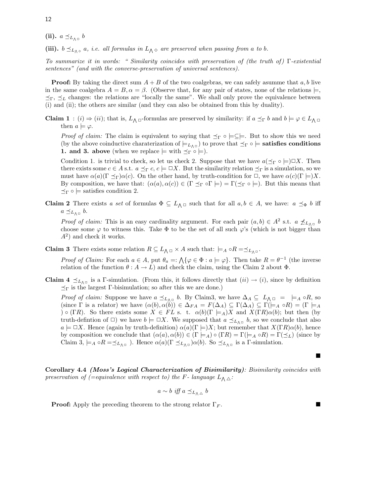(ii).  $a \preceq_{L_{\wedge \Box}} b$ 

(iii).  $b \preceq_{L_{\Lambda\phi}} a$ , *i.e. all formulas in*  $L_{\Lambda\phi}$  *are preserved when passing from a to b.* 

To summarize it in words: " Similarity coincides with preservation of (the truth of ) Γ-existential sentences" (and with the converse-preservation of universal sentences).

**Proof:** By taking the direct sum  $A + B$  of the two coalgebras, we can safely asumme that a, b live in the same coalgebra  $A = B$ ,  $\alpha = \beta$ . (Observe that, for any pair of states, none of the relations  $\models$ ,  $\leq_{\Gamma}$ ,  $\leq_{\Gamma}$  changes: the relations are "locally the same". We shall only prove the equivalence between (i) and (ii); the others are similar (and they can also be obtained from this by duality).

**Claim 1** : (i)  $\Rightarrow$  (ii); that is,  $L_{\Lambda} \Box$ -formulas are preserved by similarity: if  $a \preceq_{\Gamma} b$  and  $b \models \varphi \in L_{\Lambda} \Box$ then  $a \models \varphi$ .

*Proof of claim:* The claim is equivalent to saying that  $\preceq_{\Gamma} \circ \models \subseteq \models$ . But to show this we need (by the above coinductive charaterization of  $\models_{L_{\Lambda^{\Box}}}$ ) to prove that  $\preceq_{\Gamma} \circ \models$  **satisfies conditions 1. and 3. above** (when we replace  $\models$  with  $\preceq_{\Gamma} \circ \models$ ).

Condition 1. is trivial to check, so let us check 2. Suppose that we have  $a(\preceq_\Gamma \circ \models) \Box X$ . Then there exists some  $c \in A$  s.t.  $a \preceq_{\Gamma} c$ ,  $c \models \Box X$ . But the similarity relation  $\preceq_{\Gamma}$  is a simulation, so we must have  $\alpha(a)(\Gamma \preceq_{\Gamma})\alpha(c)$ . On the other hand, by truth-condition for  $\Box$ , we have  $\alpha(c)(\Gamma \models)X$ . By composition, we have that:  $(\alpha(a), \alpha(c)) \in (\Gamma \leq_{\Gamma} \circ \Gamma) = \Gamma(\leq_{\Gamma} \circ \models)$ . But this means that  $\preceq_{\Gamma} \circ \models$  satisfies condition 2.

**Claim 2** There exists a set of formulas  $\Phi \subseteq L_{\Lambda}$  and that for all  $a, b \in A$ , we have:  $a \preceq_{\Phi} b$  iff  $a \preceq_{L_{\Lambda^{\Box}}} b.$ 

*Proof of claim:* This is an easy cardinality argument. For each pair  $(a, b) \in A^2$  s.t.  $a \nleq_{L_{\Lambda}0} b$ choose some  $\varphi$  to witness this. Take  $\Phi$  to be the set of all such  $\varphi$ 's (which is not bigger than  $A<sup>2</sup>$  and check it works.

**Claim 3** There exists some relation  $R \subseteq L_{\Lambda} \square \times A$  such that:  $\models A \circ R = \preceq_{L_{\Lambda} \square}$ .

*Proof of Claim:* For each  $a \in A$ , put  $\theta_a =: \bigwedge \{\varphi \in \Phi : a \models \varphi\}$ . Then take  $R = \theta^{-1}$  (the inverse relation of the function  $\theta : A \to L$ ) and check the claim, using the Claim 2 about  $\Phi$ .

**Claim 4**  $\preceq_{L_{\Lambda} \Box}$  is a Γ-simulation. (From this, it follows directly that  $(ii) \rightarrow (i)$ , since by definition  $\preceq_{\Gamma}$  is the largest Γ-bisimulation; so after this we are done.)

*Proof of claim:* Suppose we have  $a \leq_{L_{\Lambda} \Box} b$ . By Claim3, we have  $\Delta_A \subseteq L_{\Lambda} \Box = \models_A \circ R$ , so (since  $\Gamma$  is a relator) we have  $(\alpha(b), \alpha(b)) \in \Delta_{FA} = F(\Delta_A) \subseteq \Gamma(\Delta_A) \subseteq \Gamma(\models_A \circ R) = (\Gamma \models_A \circ \Gamma)$ ) **◦** (ΓR). So there exists some  $X \text{ } \in FL$  s. t.  $\alpha(b)(\Gamma \models_A)X$  and  $X(TR)\alpha(b)$ ; but then (by truth-defintion of  $\Box$ ) we have  $b \models \Box X$ . We supposed that  $a \preceq_{L_{\wedge} \Box} b$ , so we conclude that also  $a \models \Box X$ . Hence (again by truth-definition)  $\alpha(a)(\Gamma \models)X$ ; but remember that  $X(\Gamma R)\alpha(b)$ , hence by composition we conclude that  $(\alpha(a), \alpha(b)) \in (\Gamma \models_A) \circ (\Gamma R) = \Gamma(\models_A \circ R) = \Gamma(\preceq_L)$  (since by Claim 3,  $\models_A \circ R = \leq_{L_{\Lambda^{\Box}}}$ ). Hence  $\alpha(a)(\Gamma \preceq_{L_{\Lambda^{\Box}}} \alpha(b)$ . So  $\preceq_{L_{\Lambda^{\Box}}}$  is a  $\Gamma$ -simulation.

 $\blacksquare$ 

**Corollary 4.4** *(Moss's Logical Characterization of Bisimilarity)*: Bisimilarity coincides with preservation of (=equivalence with respect to) the F- language  $L_{\Lambda, \Delta}$ :

$$
a \sim b \text{ iff } a \preceq_{L_{\bigwedge} \triangle} b
$$

**Proof:** Apply the preceding theorem to the strong relator  $\Gamma_F$ .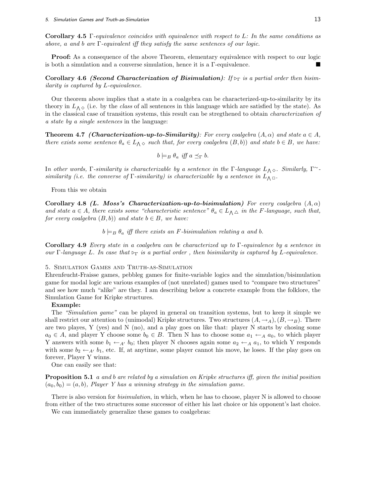**Corollary 4.5** Γ-equivalence coincides with equivalence with respect to L: In the same conditions as above, a and b are Γ-equivalent iff they satisfy the same sentences of our logic.

**Proof:** As a consequence of the above Theorem, elementary equivalence with respect to our logic is both a simulation and a converse simulation, hence it is a Γ-equivalence.

**Corollary 4.6** *(Second Characterization of Bisimulation)*: If  $\triangleright$ <sub>Γ</sub> is a partial order then bisimilarity is captured by L-equivalence.

Our theorem above implies that a state in a coalgebra can be characterized-up-to-similarity by its theory in  $L_{\Lambda}$   $\Diamond$  (i.e. by the *class* of all sentences in this language which are satisfied by the state). As in the classical case of transition systems, this result can be stregthened to obtain characterization of a state by a single sentences in the language:

**Theorem 4.7** *(Characterization-up-to-Similarity): For every coalgebra*  $(A, \alpha)$  and state  $a \in A$ , there exists some sentence  $\theta_a \in L_{\Lambda} \circ$  such that, for every coalgebra  $(B, b)$ ) and state  $b \in B$ , we have:

$$
b \models_B \theta_a \text{ iff } a \preceq_{\Gamma} b.
$$

In other words, Γ-similarity is characterizable by a sentence in the Γ-language  $L_{\Lambda} \otimes$ . Similarly, Γ<sup>*∼*</sup>similarity (i.e. the converse of  $\Gamma$ -similarity) is characterizable by a sentence in  $L_{\Lambda} \Box$ .

From this we obtain

**Corollary 4.8** *(L. Moss's Characterization-up-to-bisimulation)* For every coalgebra  $(A, \alpha)$ and state  $a \in A$ , there exists some "characteristic sentence"  $\theta_a \in L_{\Lambda} \triangle$  in the F-language, such that, for every coalgebra  $(B, b)$  and state  $b \in B$ , we have:

 $b \models_B \theta_a$  iff there exists an F-bisimulation relating a and b.

**Corollary 4.9** Every state in a coalgebra can be characterized up to Γ-equivalence by a sentence in our Γ-language L. In case that  $\triangleright_{\Gamma}$  is a partial order, then bisimilarity is captured by L-equivalence.

5. Simulation Games and Truth-as-Simulation

Ehrenfeucht-Fraisse games, pebbleg games for finite-variable logics and the simulation/bisimulation game for modal logic are various examples of (not unrelated) games used to "compare two structures" and see how much "alike" are they. I am describing below a concrete example from the folklore, the Simulation Game for Kripke structures.

#### **Example:**

The "Simulation game" can be played in general on transition systems, but to keep it simple we shall restrict our attention to (unimodal) Kripke structures. Two structures  $(A, \rightarrow_A), (B, \rightarrow_B)$ . There are two playes, Y (yes) and N (no), and a play goes on like that: player N starts by chosing some  $a_0 \in A$ , and player Y choose some  $b_0 \in B$ . Then N has to choose some  $a_1 \leftarrow_A a_0$ , to which player Y answers with some  $b_1 \leftarrow_{A'} b_0$ ; then player N chooses again some  $a_2 \leftarrow_{A} a_1$ , to which Y responds with some  $b_2 \leftarrow_{A'} b_1$ , etc. If, at anytime, some player cannot his move, he loses. If the play goes on forever, Player Y winns.

One can easily see that:

**Proposition 5.1** a and b are related by a simulation on Kripke structures iff, given the initial position  $(a_0, b_0)=(a, b)$ , Player Y has a winning strategy in the simulation game.

There is also version for *bisimulation*, in which, when he has to choose, player N is allowed to choose from either of the two structures some successor of either his last choice or his opponent's last choice.

We can immediately generalize these games to coalgebras: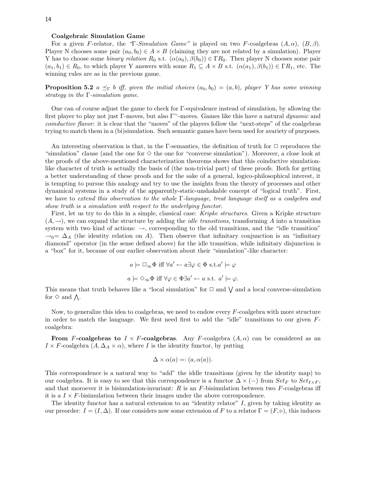#### **Coalgebraic Simulation Game**

For a given F-relator, the "Γ-Simulation Game" is played on two F-coalgebras  $(A, \alpha)$ ,  $(B, \beta)$ . Player N chooses some pair  $(a_0, b_0) \in A \times B$  (claiming they are not related by a simulation). Player Y has to choose some *binary relation*  $R_0$  s.t.  $(\alpha(a_0), \beta(b_0)) \in \Gamma R_0$ . Then player N chooses some pair  $(a_1, b_1) \in R_0$ , to which player Y answers with some  $R_1 \subseteq A \times B$  s.t.  $(\alpha(a_1), \beta(b_1)) \in \Gamma R_1$ , etc. The winning rules are as in the previous game.

**Proposition 5.2**  $a \leq_{\Gamma} b$  iff, given the initial choices  $(a_0, b_0) = (a, b)$ , player Y has some winning strategy in the  $\Gamma$ -simulation game.

One can of course adjust the game to check for Γ-equivalence instead of simulation, by allowing the first player to play not just Γ-moves, but also Γ*<sup>∼</sup>*-moves. Games like this have a natural dynamic and coinductive flavor: it is clear that the "moves" of the players follow the "next-steps" of the coalgebras trying to match them in a (bi)simulation. Such semantic games have been used for avariety of purposes.

An interesting observation is that, in the Γ-semantics, the definition of truth for □ reproduces the "simulation" clause (and the one for *✸* the one for "converse simulation"). Moreover, a close look at the proofs of the above-mentioned characterization theorems shows that this coinductive simulationlike character of truth is actually the basis of (the non-trivial part) of these proofs. Both for getting a better understanding of these proofs and for the sake of a general, logico-philosophical interest, it is tempting to pursue this analogy and try to use the insights from the theory of processes and other dynamical systems in a study of the apparently-static-unshakable concept of "logical truth". First, we have to extend this observation to the whole Γ-language, treat language itself as a coalgebra and show truth is a simulation with respect to the underlying functor.

First, let us try to do this in a simple, classical case: Kripke structures. Given a Kripke structure  $(A, \rightarrow)$ , we can expand the structure by adding the *idle transitions*, transforming A into a transition system with two kind of actions: →, corresponding to the old transitions, and the "idle transition"  $\rightarrow_0= \Delta_A$  (the identity relation on A). Then observe that infinitary conjunction is an "infinitary" diamond" operator (in the sense defined above) for the idle transition, while infinitary disjunction is a "box" for it, because of our earlier observation about their "simulation"-like character:

$$
a \models \Box_{\infty} \Phi \text{ iff } \forall a' \leftarrow a \exists \varphi \in \Phi \text{ s.t. } a' \models \varphi
$$

$$
a \models \Diamond_{\infty} \Phi \text{ iff } \forall \varphi \in \Phi \exists a' \leftarrow a \text{ s.t. } a' \models \varphi.
$$

This means that truth behaves like a "local simulation" for  $\Box$  and  $\bigvee$  and a local converse-simulation for  $\diamond$  and  $\Lambda$ .

Now, to generalize this idea to coalgebras, we need to endow every  $F$ -coalgebra with more structure in order to match the language. We first need first to add the "idle" transitions to our given Fcoalgebra:

**From** F-coalgebras to  $I \times F$ -coalgebras. Any F-coalgebra  $(A, \alpha)$  can be considered as an  $I \times F$ -coalgebra  $(A, \Delta_A \times \alpha)$ , where I is the identity functor, by putting

$$
\Delta \times \alpha(a) =: (a, \alpha(a)).
$$

This correspondence is a natural way to "add" the iddle transitions (given by the identity map) to our coalgebra. It is easy to see that this correspondence is a functor  $\Delta \times (-)$  from  $Set_F$  to  $Set_{I \times F}$ , and that moroever it is bisimulation-invariant:  $R$  is an  $F$ -bisimulation between two  $F$ -coalgebras iff it is a  $I \times F$ -bisimulation between their images under the above correspondence.

The identity functor has a natural extension to an "identity relator" I, given by taking identity as our preorder:  $I = (I, \Delta)$ . If one considers now some extension of F to a relator  $\Gamma = (F, \triangleright)$ , this induces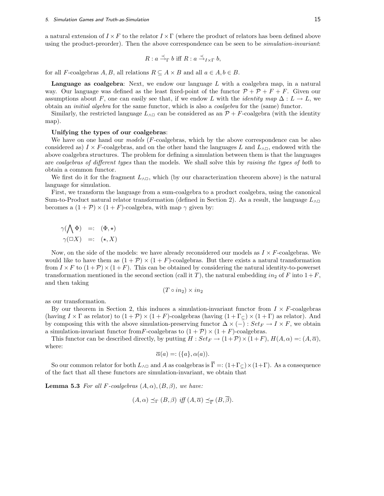a natural extension of  $I \times F$  to the relator  $I \times \Gamma$  (where the product of relators has been defined above using the product-preorder). Then the above correspondence can be seen to be *simulation-invariant*:

$$
R: a \stackrel{\prec}{\to}_{\Gamma} b \text{ iff } R: a \stackrel{\prec}{\to}_{I \times \Gamma} b,
$$

for all *F*-coalgebras *A*, *B*, all relations  $R \subseteq A \times B$  and all  $a \in A, b \in B$ .

**Language as coalgebra**: Next, we endow our language L with a coalgebra map, in a natural way. Our language was defined as the least fixed-point of the functor  $\mathcal{P} + \mathcal{P} + F + F$ . Given our assumptions about F, one can easily see that, if we endow L with the *identity map*  $\Delta : L \to L$ , we obtain an initial algebra for the same functor, which is also a coalgebra for the (same) functor.

Similarly, the restricted language  $L_{\land \Box}$  can be considered as an  $\mathcal{P} + F$ -coalgebra (with the identity map).

#### **Unifying the types of our coalgebras**:

We have on one hand our *models* (*F*-coalgebras, which by the above correspondence can be also considered as)  $I \times F$ -coalgebras, and on the other hand the languages L and  $L_{\land \Box}$ , endowed with the above coalgebra structures. The problem for defining a simulation between them is that the languages are coalgebras of different types than the models. We shall solve this by raising the types of both to obtain a common functor.

We first do it for the fragment  $L_{\land \Box}$ , which (by our characterization theorem above) is the natural language for simulation.

First, we transform the language from a sum-coalgebra to a product coalgebra, using the canonical Sum-to-Product natural relator transformation (defined in Section 2). As a result, the language  $L_{\land \Box}$ becomes a  $(1 + \mathcal{P}) \times (1 + F)$ -coalgebra, with map  $\gamma$  given by:

$$
\gamma(\bigwedge \Phi) =: (\Phi, \star)
$$
  

$$
\gamma(\Box X) =: (\star, X)
$$

Now, on the side of the models: we have already reconsidered our models as  $I \times F$ -coalgebras. We would like to have them as  $(1 + \mathcal{P}) \times (1 + F)$ -coalgebras. But there exists a natural transformation from  $I \times F$  to  $(1+\mathcal{P}) \times (1+F)$ . This can be obtained by considering the natural identity-to-powerset transformation mentioned in the second section (call it T), the natural embedding in<sub>2</sub> of F into  $1+F$ , and then taking

$$
(T \circ in_2) \times in_2
$$

as our transformation.

By our theorem in Section 2, this induces a simulation-invariant functor from  $I \times F$ -coalgebras (having  $I \times \Gamma$  as relator) to  $(1 + P) \times (1 + F)$ -coalgebras (having  $(1 + \Gamma_{\subseteq}) \times (1 + \Gamma)$ ) as relator). And by composing this with the above simulation-preserving functor  $\Delta \times (-)$ :  $Set_F \rightarrow I \times F$ , we obtain a simulation-invariant functor from F-coalgebras to  $(1 + P) \times (1 + F)$ -coalgebras.

This functor can be described directly, by putting  $H : Set_F \to (1+\mathcal{P}) \times (1+F)$ ,  $H(A,\alpha) =: (A,\overline{\alpha})$ , where:

$$
\overline{\alpha}(a) =: (\{a\}, \alpha(a)).
$$

So our common relator for both  $L_{\land \Box}$  and A as coalgebras is  $\overline{\Gamma} =$ :  $(1+\Gamma_{\Box}) \times (1+\Gamma)$ . As a consequence of the fact that all these functors are simulation-invariant, we obtain that

**Lemma 5.3** For all F-coalgebras  $(A, \alpha)$ ,  $(B, \beta)$ , we have:

$$
(A, \alpha) \preceq_{\Gamma} (B, \beta) \text{ iff } (A, \overline{\alpha}) \preceq_{\overline{\Gamma}} (B, \beta).
$$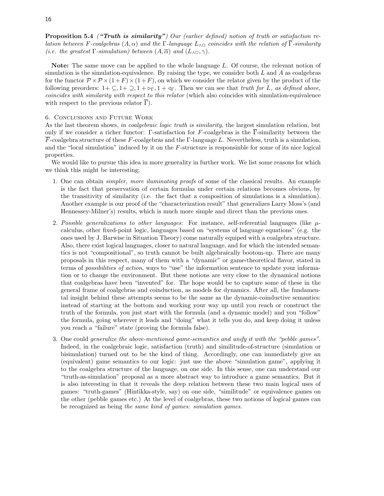**Proposition 5.4** (*"Truth is similarity"*) Our (earlier defined) notion of truth or satisfaction relation between F-coalgebras  $(A, \alpha)$  and the Γ-language  $L_{\land \Box}$  coincides with the relation of  $\overline{\Gamma}$ -similarity (i.e. the greatest  $\Gamma$ -simulation) between  $(A, \overline{\alpha})$  and  $(L_{\land \Box}, \gamma)$ .

**Note:** The same move can be applied to the whole language L. Of course, the relevant notion of simulation is the simulation-equivalence. By raising the type, we consider both  $L$  and  $A$  as coalgebras for the functor  $\mathcal{P} \times \mathcal{P} \times (1+F) \times (1+F)$ , on which we consider the relator given by the product of the following preorders:  $1+\subseteq, 1+\subseteq, 1+\succ_{\Gamma}, 1+\prec_{\Gamma}$ . Then we can see that *truth for L, as defined above*, coincides with similarity with respect to this relator (which also coincides with simulation-equivalence with respect to the previous relator  $\overline{\Gamma}$ ).

#### 6. Conclusions and Future Work

As the last theorem shows, in coalgebraic logic truth is similarity, the largest simulation relation, but only if we consider a richer functor: Γ-satisfaction for F-coalgebras is the  $\overline{\Gamma}$ -similarity between the F-coalgebra structure of these F-coalgebras and the Γ-language L. Nevertheless, truth is a simulation, and the "local simulation" induced by it on the F-structure is responsinble for some of its nice logical properties.

We would like to pursue this idea in more generality in further work. We list some reasons for which we think this might be interesting;

- 1. One can obtain simpler, more iluminating proofs of some of the classical results. An example is the fact that preservation of certain formulas under certain relations becomes obvious, by the transitivity of similarity (i.e. the fact that a composition of simulations is a simulation). Another example is our proof of the "characterization result" that generalizes Larry Moss's (and Hennessey-Milner's) results, which is much more simple and direct than the previous ones.
- 2. Possible generalizations to other languages: For instance, self-referential languages (like  $\mu$ calculus, other fixed-point logic, languages based on "systems of language equations" (e.g. the ones used by J. Barwise in Situation Theory) come naturally equiped with a coalgebra structure. Also, there exist logical languages, closer to natural language, and for which the intended semantics is not "compositional", so truth cannot be built algebraically bootom-up. There are many proposals in this respect, many of them with a "dynamic" or game-theoretical flavor, stated in terms of possibilities of action, ways to "use" the information sentence to update your information or to change the environment. But these notions are very close to the dynamical notions that coalgebras have been "invented" for. The hope would be to capture some of these in the general frame of coalgebras and coinduction, as models for dynamics. After all, the fundamental insight behind these attempts seems to be the same as the dynamic-coinductive semantics: instead of starting at the bottom and working your way up until you reach or construct the truth of the formula, you just start with the formula (and a dynamic model) and you "follow" the formula, going wherever it leads and "doing" what it tells you do, and keep doing it unless you reach a "failure" state (proving the formula false).
- 3. One could generalize the above-mentioned game-semantics and unify it with the "pebble games". Indeed, in the coalgebraic logic, satisfaction (truth) and similitude-of-structure (simulation or bisimulation) turned out to be the kind of thing. Accordingly, one can immediately give an (equivalent) game semantics to our logic: just use the above "simulation game", applying it to the coalgebra structure of the language, on one side. In this sense, one can understand our "truth-as-simulation" proposal as a more abstract way to introduce a game semantics. But it is also interesting in that it reveals the deep relation between these two main logical uses of games: "truth-games" (Hintikka-style, say) on one side, "similitude" or equivalence games on the other (pebble games etc.) At the level of coalgebras, these two notions of logical games can be recognized as being the same kind of games: simulation games.